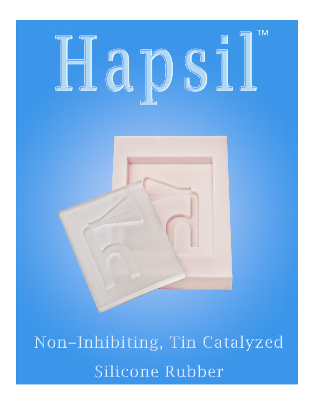# **TM** Hapsil



Non-Inhibiting, Tin Catalyzed Silicone Rubber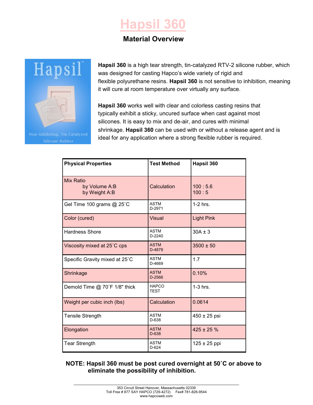# **Hapsil 360**

# **Material Overview**



**Hapsil 360** is a high tear strength, tin-catalyzed RTV-2 silicone rubber, which was designed for casting Hapco's wide variety of rigid and flexible polyurethane resins. **Hapsil 360** is not sensitive to inhibition, meaning it will cure at room temperature over virtually any surface.

**Hapsil 360** works well with clear and colorless casting resins that typically exhibit a sticky, uncured surface when cast against most silicones. It is easy to mix and de-air, and cures with minimal shrinkage. **Hapsil 360** can be used with or without a release agent and is ideal for any application where a strong flexible rubber is required.

| <b>Physical Properties</b>                         | <b>Test Method</b>          | Hapsil 360        |
|----------------------------------------------------|-----------------------------|-------------------|
| <b>Mix Ratio</b><br>by Volume A:B<br>by Weight A:B | Calculation                 | 100:5.6<br>100:5  |
| Gel Time 100 grams @ 25°C                          | <b>ASTM</b><br>D-2971       | $1-2$ hrs.        |
| Color (cured)                                      | <b>Visual</b>               | <b>Light Pink</b> |
| <b>Hardness Shore</b>                              | <b>ASTM</b><br>$D-2240$     | $30A \pm 3$       |
| Viscosity mixed at 25°C cps                        | <b>ASTM</b><br>D-4878       | $3500 \pm 50$     |
| Specific Gravity mixed at 25°C                     | <b>ASTM</b><br>D-4669       | 1.7               |
| Shrinkage                                          | <b>ASTM</b><br>D-2566       | 0.10%             |
| Demold Time @ 70°F 1/8" thick                      | <b>HAPCO</b><br><b>TEST</b> | $1-3$ hrs.        |
| Weight per cubic inch (lbs)                        | Calculation                 | 0.0614            |
| <b>Tensile Strength</b>                            | <b>ASTM</b><br>D-638        | 450 ± 25 psi      |
| Elongation                                         | <b>ASTM</b><br>D-638        | $425 \pm 25 \%$   |
| <b>Tear Strength</b>                               | <b>ASTM</b><br>$D-624$      | $125 \pm 25$ ppi  |

**NOTE: Hapsil 360 must be post cured overnight at 50˚C or above to eliminate the possibility of inhibition.**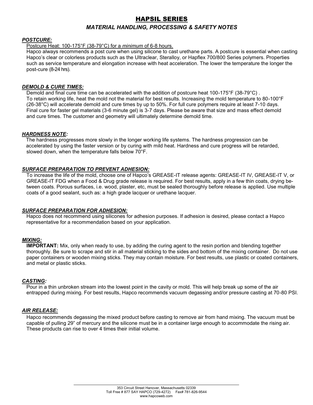### HAPSIL SERIES

#### *MATERIAL HANDLING, PROCESSING & SAFETY NOTES*

#### *POSTCURE:*

#### Postcure Heat: 100-175°F (38-79°C) for a *minimum* of 6-8 hours.

Hapco always recommends a post cure when using silicone to cast urethane parts. A postcure is essential when casting Hapco's clear or colorless products such as the Ultraclear, Steralloy, or Hapflex 700/800 Series polymers. Properties such as service temperature and elongation increase with heat acceleration. The lower the temperature the longer the post-cure (8-24 hrs).

#### *DEMOLD & CURE TIMES:*

Demold and final cure time can be accelerated with the addition of postcure heat 100-175°F (38-79°C) . To retain working life, heat the mold not the material for best results. Increasing the mold temperature to 80-100°F (26-38°C) will accelerate demold and cure times by up to 50%. For full cure polymers require at least 7-10 days. Final cure for faster gel materials (3-6 minute gel) is 3-7 days. Please be aware that size and mass effect demold and cure times. The customer and geometry will ultimately determine demold time.

#### *HARDNESS NOTE:*

 The hardness progresses more slowly in the longer working life systems. The hardness progression can be accelerated by using the faster version or by curing with mild heat. Hardness and cure progress will be retarded, slowed down, when the temperature falls below 70°F.

#### *SURFACE PREPARATION TO PREVENT ADHESION:*

To increase the life of the mold, choose one of Hapco's GREASE-IT release agents: GREASE-IT IV, GREASE-IT V, or GREASE-IT FDG when a Food & Drug grade release is required. For best results, apply in a few thin coats, drying between coats. Porous surfaces, i.e. wood, plaster, etc, must be sealed thoroughly before release is applied. Use multiple coats of a good sealant, such as: a high grade lacquer or urethane lacquer.

#### *SURFACE PREPARATION FOR ADHESION:*

Hapco does not recommend using silicones for adhesion purposes. If adhesion is desired, please contact a Hapco representative for a recommendation based on your application.

#### *MIXING:*

**IMPORTANT:** Mix, only when ready to use, by adding the curing agent to the resin portion and blending together thoroughly. Be sure to scrape and stir in all material sticking to the sides and bottom of the mixing container. Do not use paper containers or wooden mixing sticks. They may contain moisture. For best results, use plastic or coated containers, and metal or plastic sticks.

#### *CASTING:*

Pour in a thin unbroken stream into the lowest point in the cavity or mold. This will help break up some of the air entrapped during mixing. For best results, Hapco recommends vacuum degassing and/or pressure casting at 70-80 PSI.

#### *AIR RELEASE:*

Hapco recommends degassing the mixed product before casting to remove air from hand mixing. The vacuum must be capable of pulling 29" of mercury and the silicone must be in a container large enough to accommodate the rising air. These products can rise to over 4 times their initial volume.